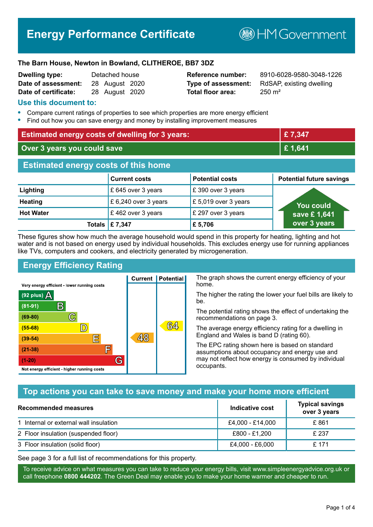# **Energy Performance Certificate**

**B**HM Government

#### **The Barn House, Newton in Bowland, CLITHEROE, BB7 3DZ**

| Dwelling type:       | Detached house |                |  |
|----------------------|----------------|----------------|--|
| Date of assessment:  |                | 28 August 2020 |  |
| Date of certificate: |                | 28 August 2020 |  |

# **Total floor area:** 250 m<sup>2</sup>

**Reference number:** 8910-6028-9580-3048-1226 **Type of assessment:** RdSAP, existing dwelling

#### **Use this document to:**

- **•** Compare current ratings of properties to see which properties are more energy efficient
- **•** Find out how you can save energy and money by installing improvement measures

| <b>Estimated energy costs of dwelling for 3 years:</b> |                           |                        | £7,347                          |
|--------------------------------------------------------|---------------------------|------------------------|---------------------------------|
| Over 3 years you could save                            |                           |                        | £1,641                          |
| <b>Estimated energy costs of this home</b>             |                           |                        |                                 |
|                                                        | <b>Current costs</b>      | <b>Potential costs</b> | <b>Potential future savings</b> |
| Lighting                                               | £ 645 over 3 years        | £390 over 3 years      |                                 |
| <b>Heating</b>                                         | £ 6,240 over 3 years      | £5,019 over 3 years    | <b>You could</b>                |
| <b>Hot Water</b>                                       | £462 over 3 years         | £ 297 over 3 years     | save £1,641                     |
|                                                        | Totals $\mathsf{E}$ 7,347 | £5,706                 | over 3 years                    |

These figures show how much the average household would spend in this property for heating, lighting and hot water and is not based on energy used by individual households. This excludes energy use for running appliances like TVs, computers and cookers, and electricity generated by microgeneration.

**Current | Potential** 

48

# **Energy Efficiency Rating**

 $\mathbb{C}$ 

 $\mathbb{D}$ 

E

庐

G

Very energy efficient - lower running costs

R

Not energy efficient - higher running costs

(92 plus)  $\Delta$ 

 $(81 - 91)$ 

 $(69 - 80)$ 

 $(55-68)$ 

 $(39 - 54)$ 

 $(21-38)$ 

 $(1-20)$ 

The graph shows the current energy efficiency of your home.

The higher the rating the lower your fuel bills are likely to be.

The potential rating shows the effect of undertaking the recommendations on page 3.

The average energy efficiency rating for a dwelling in England and Wales is band D (rating 60).

The EPC rating shown here is based on standard assumptions about occupancy and energy use and may not reflect how energy is consumed by individual occupants.

# **Top actions you can take to save money and make your home more efficient**

 $64$ 

| Recommended measures                   | Indicative cost  | <b>Typical savings</b><br>over 3 years |
|----------------------------------------|------------------|----------------------------------------|
| 1 Internal or external wall insulation | £4,000 - £14,000 | £861                                   |
| 2 Floor insulation (suspended floor)   | £800 - £1,200    | £ 237                                  |
| 3 Floor insulation (solid floor)       | £4,000 - £6,000  | £ 171                                  |

See page 3 for a full list of recommendations for this property.

To receive advice on what measures you can take to reduce your energy bills, visit www.simpleenergyadvice.org.uk or call freephone **0800 444202**. The Green Deal may enable you to make your home warmer and cheaper to run.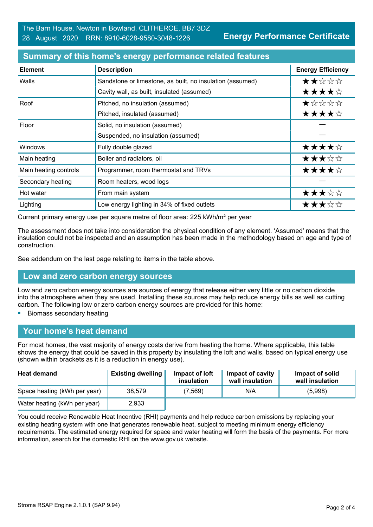| <b>Element</b>        | <b>Description</b>                                        | <b>Energy Efficiency</b> |
|-----------------------|-----------------------------------------------------------|--------------------------|
| Walls                 | Sandstone or limestone, as built, no insulation (assumed) | ★★☆☆☆                    |
|                       | Cavity wall, as built, insulated (assumed)                | ★★★★☆                    |
| Roof                  | Pitched, no insulation (assumed)                          | $\star$ * * * *          |
|                       | Pitched, insulated (assumed)                              | ★★★★☆                    |
| Floor                 | Solid, no insulation (assumed)                            |                          |
|                       | Suspended, no insulation (assumed)                        |                          |
| Windows               | Fully double glazed                                       | ★★★★☆                    |
| Main heating          | Boiler and radiators, oil                                 | ★★★☆☆                    |
| Main heating controls | Programmer, room thermostat and TRVs                      | ★★★★☆                    |
| Secondary heating     | Room heaters, wood logs                                   |                          |
| Hot water             | From main system                                          | ★★★☆☆                    |
| Lighting              | Low energy lighting in 34% of fixed outlets               | ★★★☆☆                    |

#### **Summary of this home's energy performance related features**

Current primary energy use per square metre of floor area: 225 kWh/m² per year

The assessment does not take into consideration the physical condition of any element. 'Assumed' means that the insulation could not be inspected and an assumption has been made in the methodology based on age and type of construction.

See addendum on the last page relating to items in the table above.

#### **Low and zero carbon energy sources**

Low and zero carbon energy sources are sources of energy that release either very little or no carbon dioxide into the atmosphere when they are used. Installing these sources may help reduce energy bills as well as cutting carbon. The following low or zero carbon energy sources are provided for this home:

**•** Biomass secondary heating

#### **Your home's heat demand**

For most homes, the vast majority of energy costs derive from heating the home. Where applicable, this table shows the energy that could be saved in this property by insulating the loft and walls, based on typical energy use (shown within brackets as it is a reduction in energy use).

| <b>Heat demand</b>           | <b>Existing dwelling</b> | Impact of loft<br>insulation | Impact of cavity<br>wall insulation | Impact of solid<br>wall insulation |
|------------------------------|--------------------------|------------------------------|-------------------------------------|------------------------------------|
| Space heating (kWh per year) | 38.579                   | (7, 569)                     | N/A                                 | (5,998)                            |
| Water heating (kWh per year) | 2,933                    |                              |                                     |                                    |

You could receive Renewable Heat Incentive (RHI) payments and help reduce carbon emissions by replacing your existing heating system with one that generates renewable heat, subject to meeting minimum energy efficiency requirements. The estimated energy required for space and water heating will form the basis of the payments. For more information, search for the domestic RHI on the www.gov.uk website.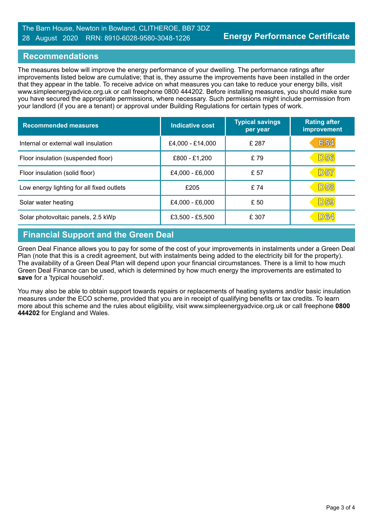#### The Barn House, Newton in Bowland, CLITHEROE, BB7 3DZ 28 August 2020 RRN: 8910-6028-9580-3048-1226

#### **Recommendations**

The measures below will improve the energy performance of your dwelling. The performance ratings after improvements listed below are cumulative; that is, they assume the improvements have been installed in the order that they appear in the table. To receive advice on what measures you can take to reduce your energy bills, visit www.simpleenergyadvice.org.uk or call freephone 0800 444202. Before installing measures, you should make sure you have secured the appropriate permissions, where necessary. Such permissions might include permission from your landlord (if you are a tenant) or approval under Building Regulations for certain types of work.

| <b>Recommended measures</b>               | Indicative cost   | <b>Typical savings</b><br>per year | <b>Rating after</b><br>improvement |
|-------------------------------------------|-------------------|------------------------------------|------------------------------------|
| Internal or external wall insulation      | £4,000 - £14,000  | £ 287                              | <b>E54</b>                         |
| Floor insulation (suspended floor)        | £800 - £1,200     | £79                                | <b>D56</b>                         |
| Floor insulation (solid floor)            | £4,000 - £6,000   | £ 57                               | <b>D57</b>                         |
| Low energy lighting for all fixed outlets | £205              | £74                                | <b>D58</b>                         |
| Solar water heating                       | £4,000 - £6,000   | £ 50                               | <b>D59</b>                         |
| Solar photovoltaic panels, 2.5 kWp        | $£3,500 - £5,500$ | £ 307                              | <b>D64</b>                         |

# **Financial Support and the Green Deal**

Green Deal Finance allows you to pay for some of the cost of your improvements in instalments under a Green Deal Plan (note that this is a credit agreement, but with instalments being added to the electricity bill for the property). The availability of a Green Deal Plan will depend upon your financial circumstances. There is a limit to how much Green Deal Finance can be used, which is determined by how much energy the improvements are estimated to **save** for a 'typical household'.

You may also be able to obtain support towards repairs or replacements of heating systems and/or basic insulation measures under the ECO scheme, provided that you are in receipt of qualifying benefits or tax credits. To learn more about this scheme and the rules about eligibility, visit www.simpleenergyadvice.org.uk or call freephone **0800 444202** for England and Wales.